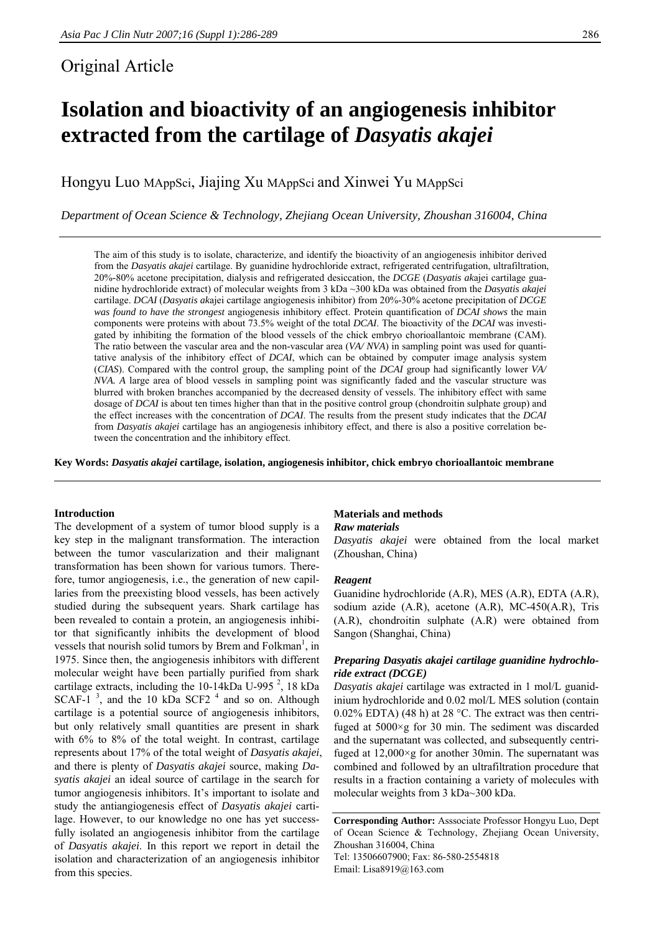# Original Article

# **Isolation and bioactivity of an angiogenesis inhibitor extracted from the cartilage of** *Dasyatis akajei*

Hongyu Luo MAppSci, Jiajing Xu MAppSci and Xinwei Yu MAppSci

*Department of Ocean Science & Technology, Zhejiang Ocean University, Zhoushan 316004, China* 

The aim of this study is to isolate, characterize, and identify the bioactivity of an angiogenesis inhibitor derived from the *Dasyatis akajei* cartilage. By guanidine hydrochloride extract, refrigerated centrifugation, ultrafiltration, 20%-80% acetone precipitation, dialysis and refrigerated desiccation, the *DCGE* (*Dasyatis ak*ajei cartilage guanidine hydrochloride extract) of molecular weights from 3 kDa ~300 kDa was obtained from the *Dasyatis akajei*  cartilage. *DCAI* (*Dasyatis ak*ajei cartilage angiogenesis inhibitor) from 20%-30% acetone precipitation of *DCGE was found to have the strongest* angiogenesis inhibitory effect. Protein quantification of *DCAI shows* the main components were proteins with about 73.5% weight of the total *DCAI*. The bioactivity of the *DCAI* was investigated by inhibiting the formation of the blood vessels of the chick embryo chorioallantoic membrane (CAM). The ratio between the vascular area and the non-vascular area (*VA/ NVA*) in sampling point was used for quantitative analysis of the inhibitory effect of *DCAI*, which can be obtained by computer image analysis system (*CIAS*). Compared with the control group, the sampling point of the *DCAI* group had significantly lower *VA/ NVA. A* large area of blood vessels in sampling point was significantly faded and the vascular structure was blurred with broken branches accompanied by the decreased density of vessels. The inhibitory effect with same dosage of *DCAI* is about ten times higher than that in the positive control group (chondroitin sulphate group) and the effect increases with the concentration of *DCAI*. The results from the present study indicates that the *DCAI* from *Dasyatis akajei* cartilage has an angiogenesis inhibitory effect, and there is also a positive correlation between the concentration and the inhibitory effect.

**Key Words:** *Dasyatis akajei* **cartilage, isolation, angiogenesis inhibitor, chick embryo chorioallantoic membrane** 

### **Introduction**

The development of a system of tumor blood supply is a key step in the malignant transformation. The interaction between the tumor vascularization and their malignant transformation has been shown for various tumors. Therefore, tumor angiogenesis, i.e., the generation of new capillaries from the preexisting blood vessels, has been actively studied during the subsequent years. Shark cartilage has been revealed to contain a protein, an angiogenesis inhibitor that significantly inhibits the development of blood vessels that nourish solid tumors by Brem and Folkman<sup>1</sup>, in 1975. Since then, the angiogenesis inhibitors with different molecular weight have been partially purified from shark cartilage extracts, including the  $10-14 \text{kDa}$  U-995<sup>2</sup>, 18  $\text{kDa}$ SCAF-1 $^3$ , and the 10 kDa SCF2<sup>4</sup> and so on. Although cartilage is a potential source of angiogenesis inhibitors, but only relatively small quantities are present in shark with 6% to 8% of the total weight. In contrast, cartilage represents about 17% of the total weight of *Dasyatis akajei*, and there is plenty of *Dasyatis akajei* source, making *Dasyatis akajei* an ideal source of cartilage in the search for tumor angiogenesis inhibitors. It's important to isolate and study the antiangiogenesis effect of *Dasyatis akajei* cartilage. However, to our knowledge no one has yet successfully isolated an angiogenesis inhibitor from the cartilage of *Dasyatis akajei*. In this report we report in detail the isolation and characterization of an angiogenesis inhibitor from this species.

# **Materials and methods**

#### *Raw materials*

*Dasyatis akajei* were obtained from the local market (Zhoushan, China)

#### *Reagent*

Guanidine hydrochloride (A.R), MES (A.R), EDTA (A.R), sodium azide (A.R), acetone (A.R), MC-450(A.R), Tris (A.R), chondroitin sulphate (A.R) were obtained from Sangon (Shanghai, China)

# *Preparing Dasyatis akajei cartilage guanidine hydrochloride extract (DCGE)*

*Dasyatis akajei* cartilage was extracted in 1 mol/L guanidinium hydrochloride and 0.02 mol/L MES solution (contain  $0.02\%$  EDTA) (48 h) at 28 °C. The extract was then centrifuged at 5000×g for 30 min. The sediment was discarded and the supernatant was collected, and subsequently centrifuged at 12,000×g for another 30min. The supernatant was combined and followed by an ultrafiltration procedure that results in a fraction containing a variety of molecules with molecular weights from 3 kDa~300 kDa.

**Corresponding Author:** Asssociate Professor Hongyu Luo, Dept of Ocean Science & Technology, Zhejiang Ocean University, Zhoushan 316004, China

Tel: 13506607900; Fax: 86-580-2554818 Email: Lisa8919@163.com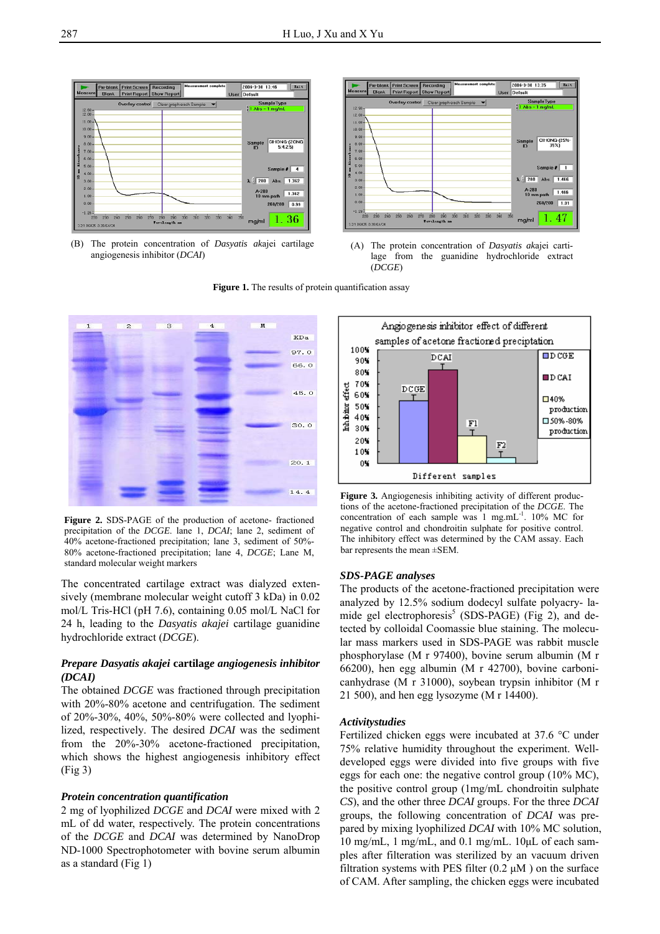Figure 1. The results of protein quantification assay



(B) The protein concentration of *Dasyatis ak*ajei cartilage angiogenesis inhibitor (*DCAI*)



(A) The protein concentration of *Dasyatis ak*ajei cartilage from the guanidine hydrochloride extract (*DCGE*)



**Figure 2.** SDS-PAGE of the production of acetone- fractioned precipitation of the *DCGE*. lane 1, *DCAI*; lane 2, sediment of 40% acetone-fractioned precipitation; lane 3, sediment of 50%- 80% acetone-fractioned precipitation; lane 4, *DCGE*; Lane M, standard molecular weight markers

The concentrated cartilage extract was dialyzed extensively (membrane molecular weight cutoff 3 kDa) in 0.02 mol/L Tris-HCl (pH 7.6), containing 0.05 mol/L NaCl for 24 h, leading to the *Dasyatis akajei* cartilage guanidine hydrochloride extract (*DCGE*).

# *Prepare Dasyatis akajei* **cartilag***e angiogenesis inhibitor (DCAI)*

The obtained *DCGE* was fractioned through precipitation with 20%-80% acetone and centrifugation. The sediment of 20%-30%, 40%, 50%-80% were collected and lyophilized, respectively. The desired *DCAI* was the sediment from the 20%-30% acetone-fractioned precipitation, which shows the highest angiogenesis inhibitory effect (Fig 3)

# *Protein concentration quantification*

2 mg of lyophilized *DCGE* and *DCAI* were mixed with 2 mL of dd water, respectively. The protein concentrations of the *DCGE* and *DCAI* was determined by NanoDrop ND-1000 Spectrophotometer with bovine serum albumin as a standard (Fig 1)



**Figure 3.** Angiogenesis inhibiting activity of different productions of the acetone-fractioned precipitation of the *DCGE*. The concentration of each sample was  $1$  mg.mL $^{-1}$ . 10% MC for negative control and chondroitin sulphate for positive control. The inhibitory effect was determined by the CAM assay. Each bar represents the mean ±SEM.

# *SDS-PAGE analyses*

The products of the acetone-fractioned precipitation were analyzed by 12.5% sodium dodecyl sulfate polyacry- lamide gel electrophoresis<sup>5</sup> (SDS-PAGE) (Fig 2), and detected by colloidal Coomassie blue staining. The molecular mass markers used in SDS-PAGE was rabbit muscle phosphorylase (M r 97400), bovine serum albumin (M r 66200), hen egg albumin (M r 42700), bovine carbonicanhydrase (M r 31000), soybean trypsin inhibitor (M r 21 500), and hen egg lysozyme (M r 14400).

# *Activitystudies*

Fertilized chicken eggs were incubated at 37.6 °C under 75% relative humidity throughout the experiment. Welldeveloped eggs were divided into five groups with five eggs for each one: the negative control group (10% MC), the positive control group (1mg/mL chondroitin sulphate *CS*), and the other three *DCAI* groups. For the three *DCAI* groups, the following concentration of *DCAI* was prepared by mixing lyophilized *DCAI* with 10% MC solution, 10 mg/mL, 1 mg/mL, and 0.1 mg/mL. 10μL of each samples after filteration was sterilized by an vacuum driven filtration systems with PES filter  $(0.2 \mu M)$  on the surface of CAM. After sampling, the chicken eggs were incubated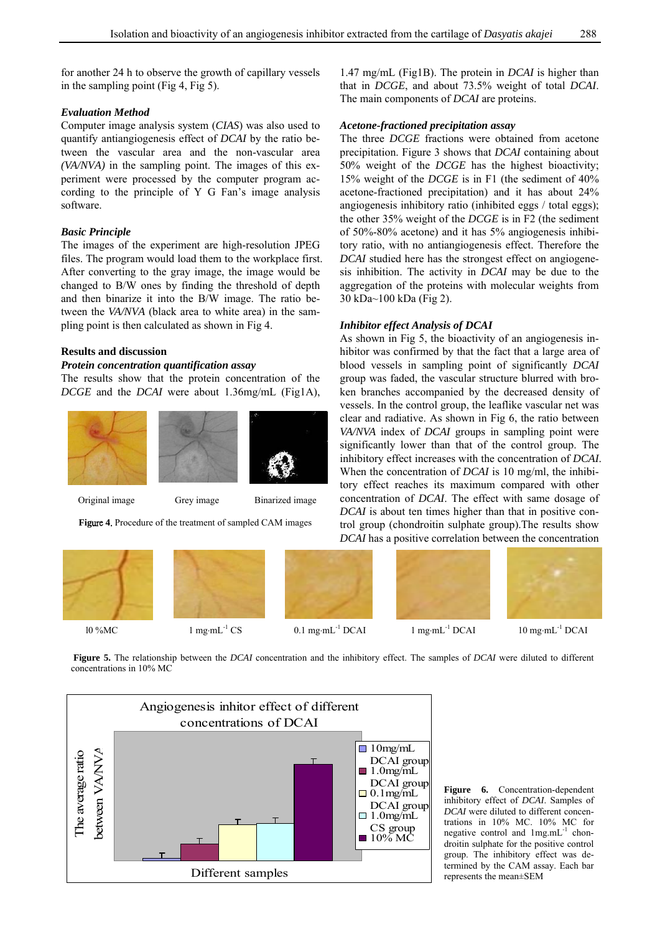for another 24 h to observe the growth of capillary vessels in the sampling point (Fig 4, Fig 5).

### *Evaluation Method*

Computer image analysis system (*CIAS*) was also used to quantify antiangiogenesis effect of *DCAI* by the ratio between the vascular area and the non-vascular area *(VA/NVA)* in the sampling point. The images of this experiment were processed by the computer program according to the principle of Y G Fan's image analysis software.

### *Basic Principle*

The images of the experiment are high-resolution JPEG files. The program would load them to the workplace first. After converting to the gray image, the image would be changed to B/W ones by finding the threshold of depth and then binarize it into the B/W image. The ratio between the *VA/NVA* (black area to white area) in the sampling point is then calculated as shown in Fig 4.

# **Results and discussion**

# *Protein concentration quantification assay*

The results show that the protein concentration of the *DCGE* and the *DCAI* were about 1.36mg/mL (Fig1A),



Figure 4. Procedure of the treatment of sampled CAM images



1.47 mg/mL (Fig1B). The protein in *DCAI* is higher than that in *DCGE*, and about 73.5% weight of total *DCAI*. The main components of *DCAI* are proteins.

# *Acetone-fractioned precipitation assay*

The three *DCGE* fractions were obtained from acetone precipitation. Figure 3 shows that *DCAI* containing about 50% weight of the *DCGE* has the highest bioactivity; 15% weight of the *DCGE* is in F1 (the sediment of 40% acetone-fractioned precipitation) and it has about 24% angiogenesis inhibitory ratio (inhibited eggs / total eggs); the other 35% weight of the *DCGE* is in F2 (the sediment of 50%-80% acetone) and it has 5% angiogenesis inhibitory ratio, with no antiangiogenesis effect. Therefore the *DCAI* studied here has the strongest effect on angiogenesis inhibition. The activity in *DCAI* may be due to the aggregation of the proteins with molecular weights from 30 kDa~100 kDa (Fig 2).

#### *Inhibitor effect Analysis of DCAI*

As shown in Fig 5, the bioactivity of an angiogenesis inhibitor was confirmed by that the fact that a large area of blood vessels in sampling point of significantly *DCAI* group was faded, the vascular structure blurred with broken branches accompanied by the decreased density of vessels. In the control group, the leaflike vascular net was clear and radiative. As shown in Fig 6, the ratio between *VA/NVA* index of *DCAI* groups in sampling point were significantly lower than that of the control group. The inhibitory effect increases with the concentration of *DCAI*. When the concentration of *DCAI* is 10 mg/ml, the inhibitory effect reaches its maximum compared with other concentration of *DCAI*. The effect with same dosage of *DCAI* is about ten times higher than that in positive control group (chondroitin sulphate group).The results show *DCAI* has a positive correlation between the concentration



**Figure 5.** The relationship between the *DCAI* concentration and the inhibitory effect. The samples of *DCAI* were diluted to different concentrations in 10% MC



**Figure 6.** Concentration-dependent inhibitory effect of *DCAI*. Samples of *DCAI* were diluted to different concentrations in 10% MC. 10% MC for negative control and  $1$ mg.mL<sup>-1</sup> chondroitin sulphate for the positive control group. The inhibitory effect was determined by the CAM assay. Each bar represents the mean±SEM